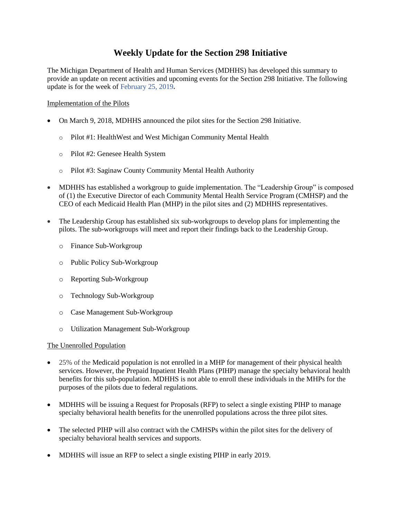# **Weekly Update for the Section 298 Initiative**

The Michigan Department of Health and Human Services (MDHHS) has developed this summary to provide an update on recent activities and upcoming events for the Section 298 Initiative. The following update is for the week of February 25, 2019**.** 

## Implementation of the Pilots

- On March 9, 2018, MDHHS announced the pilot sites for the Section 298 Initiative.
	- o Pilot #1: HealthWest and West Michigan Community Mental Health
	- o Pilot #2: Genesee Health System
	- o Pilot #3: Saginaw County Community Mental Health Authority
- MDHHS has established a workgroup to guide implementation. The "Leadership Group" is composed of (1) the Executive Director of each Community Mental Health Service Program (CMHSP) and the CEO of each Medicaid Health Plan (MHP) in the pilot sites and (2) MDHHS representatives.
- The Leadership Group has established six sub-workgroups to develop plans for implementing the pilots. The sub-workgroups will meet and report their findings back to the Leadership Group.
	- o Finance Sub-Workgroup
	- o Public Policy Sub-Workgroup
	- o Reporting Sub-Workgroup
	- o Technology Sub-Workgroup
	- o Case Management Sub-Workgroup
	- o Utilization Management Sub-Workgroup

### The Unenrolled Population

- 25% of the Medicaid population is not enrolled in a MHP for management of their physical health services. However, the Prepaid Inpatient Health Plans (PIHP) manage the specialty behavioral health benefits for this sub-population. MDHHS is not able to enroll these individuals in the MHPs for the purposes of the pilots due to federal regulations.
- MDHHS will be issuing a Request for Proposals (RFP) to select a single existing PIHP to manage specialty behavioral health benefits for the unenrolled populations across the three pilot sites.
- The selected PIHP will also contract with the CMHSPs within the pilot sites for the delivery of specialty behavioral health services and supports.
- MDHHS will issue an RFP to select a single existing PIHP in early 2019.